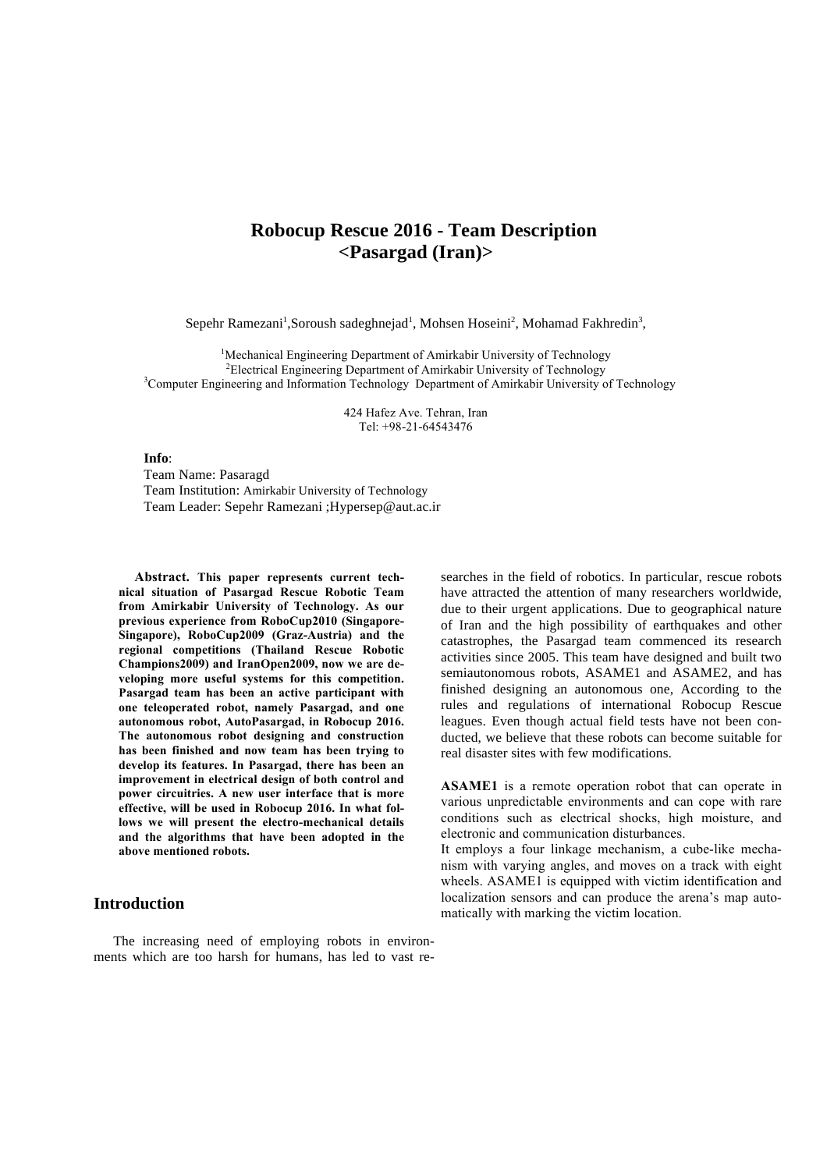# **Robocup Rescue 2016 - Team Description <Pasargad (Iran)>**

Sepehr Ramezani<sup>1</sup>, Soroush sadeghnejad<sup>1</sup>, Mohsen Hoseini<sup>2</sup>, Mohamad Fakhredin<sup>3</sup>,

<sup>1</sup>Mechanical Engineering Department of Amirkabir University of Technology <sup>2</sup> Electrical Engineering Department of Amirkabir University of Technology<sup>3</sup><br><sup>3</sup> Computer Engineering and Information Technology, Department of Amirkabir University of <sup>3</sup>Computer Engineering and Information Technology Department of Amirkabir University of Technology

> 424 Hafez Ave. Tehran, Iran Tel: +98-21-64543476

**Info**:

Team Name: Pasaragd Team Institution: Amirkabir University of Technology Team Leader: Sepehr Ramezani ;Hypersep@aut.ac.ir

**Abstract. This paper represents current technical situation of Pasargad Rescue Robotic Team from Amirkabir University of Technology. As our previous experience from RoboCup2010 (Singapore-Singapore), RoboCup2009 (Graz-Austria) and the regional competitions (Thailand Rescue Robotic Champions2009) and IranOpen2009, now we are developing more useful systems for this competition. Pasargad team has been an active participant with one teleoperated robot, namely Pasargad, and one autonomous robot, AutoPasargad, in Robocup 2016. The autonomous robot designing and construction has been finished and now team has been trying to develop its features. In Pasargad, there has been an improvement in electrical design of both control and power circuitries. A new user interface that is more effective, will be used in Robocup 2016. In what follows we will present the electro-mechanical details and the algorithms that have been adopted in the above mentioned robots.** 

## **Introduction**

The increasing need of employing robots in environments which are too harsh for humans, has led to vast re-

searches in the field of robotics. In particular, rescue robots have attracted the attention of many researchers worldwide, due to their urgent applications. Due to geographical nature of Iran and the high possibility of earthquakes and other catastrophes, the Pasargad team commenced its research activities since 2005. This team have designed and built two semiautonomous robots, ASAME1 and ASAME2, and has finished designing an autonomous one, According to the rules and regulations of international Robocup Rescue leagues. Even though actual field tests have not been conducted, we believe that these robots can become suitable for real disaster sites with few modifications.

**ASAME1** is a remote operation robot that can operate in various unpredictable environments and can cope with rare conditions such as electrical shocks, high moisture, and electronic and communication disturbances.

It employs a four linkage mechanism, a cube-like mechanism with varying angles, and moves on a track with eight wheels. ASAME1 is equipped with victim identification and localization sensors and can produce the arena's map automatically with marking the victim location.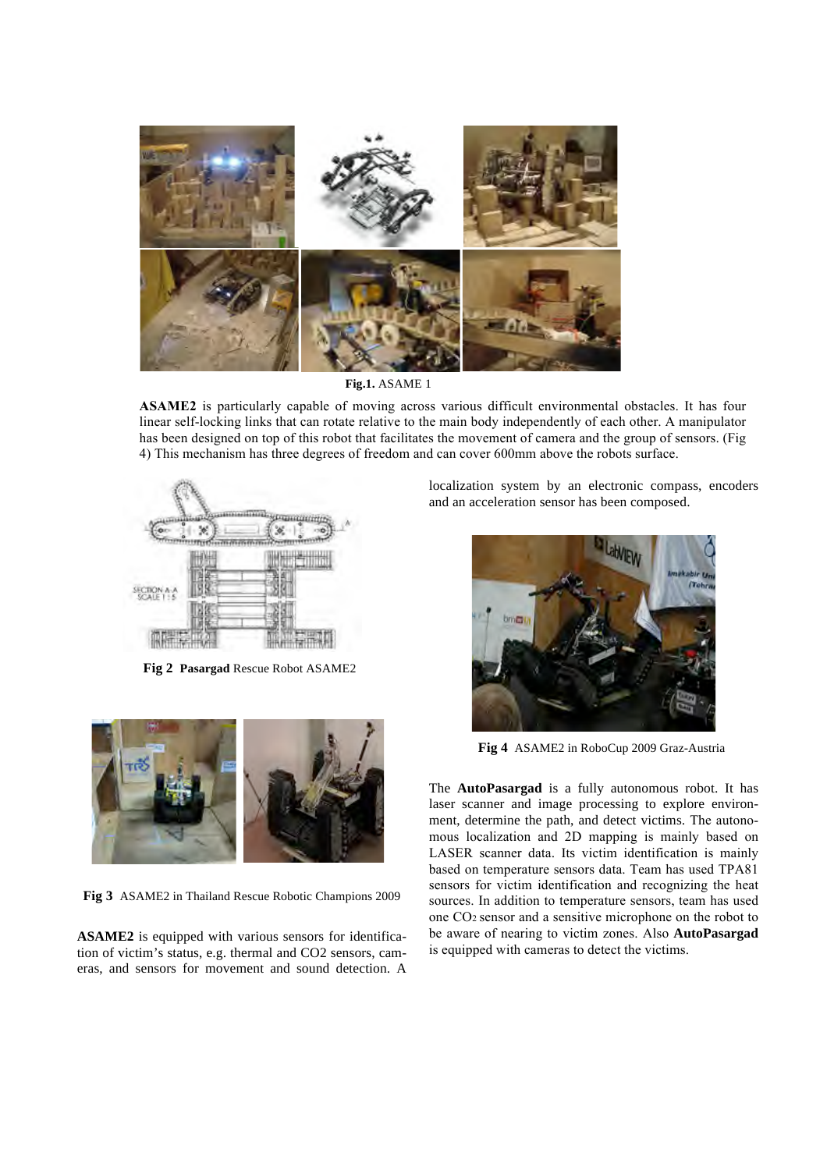

**Fig.1.** ASAME 1

**ASAME2** is particularly capable of moving across various difficult environmental obstacles. It has four linear self-locking links that can rotate relative to the main body independently of each other. A manipulator has been designed on top of this robot that facilitates the movement of camera and the group of sensors. (Fig 4) This mechanism has three degrees of freedom and can cover 600mm above the robots surface.



**Fig 2 Pasargad** Rescue Robot ASAME2



**Fig 3** ASAME2 in Thailand Rescue Robotic Champions 2009

**ASAME2** is equipped with various sensors for identification of victim's status, e.g. thermal and CO2 sensors, cameras, and sensors for movement and sound detection. A localization system by an electronic compass, encoders and an acceleration sensor has been composed.



**Fig 4** ASAME2 in RoboCup 2009 Graz-Austria

The **AutoPasargad** is a fully autonomous robot. It has laser scanner and image processing to explore environment, determine the path, and detect victims. The autonomous localization and 2D mapping is mainly based on LASER scanner data. Its victim identification is mainly based on temperature sensors data. Team has used TPA81 sensors for victim identification and recognizing the heat sources. In addition to temperature sensors, team has used one CO2 sensor and a sensitive microphone on the robot to be aware of nearing to victim zones. Also **AutoPasargad** is equipped with cameras to detect the victims.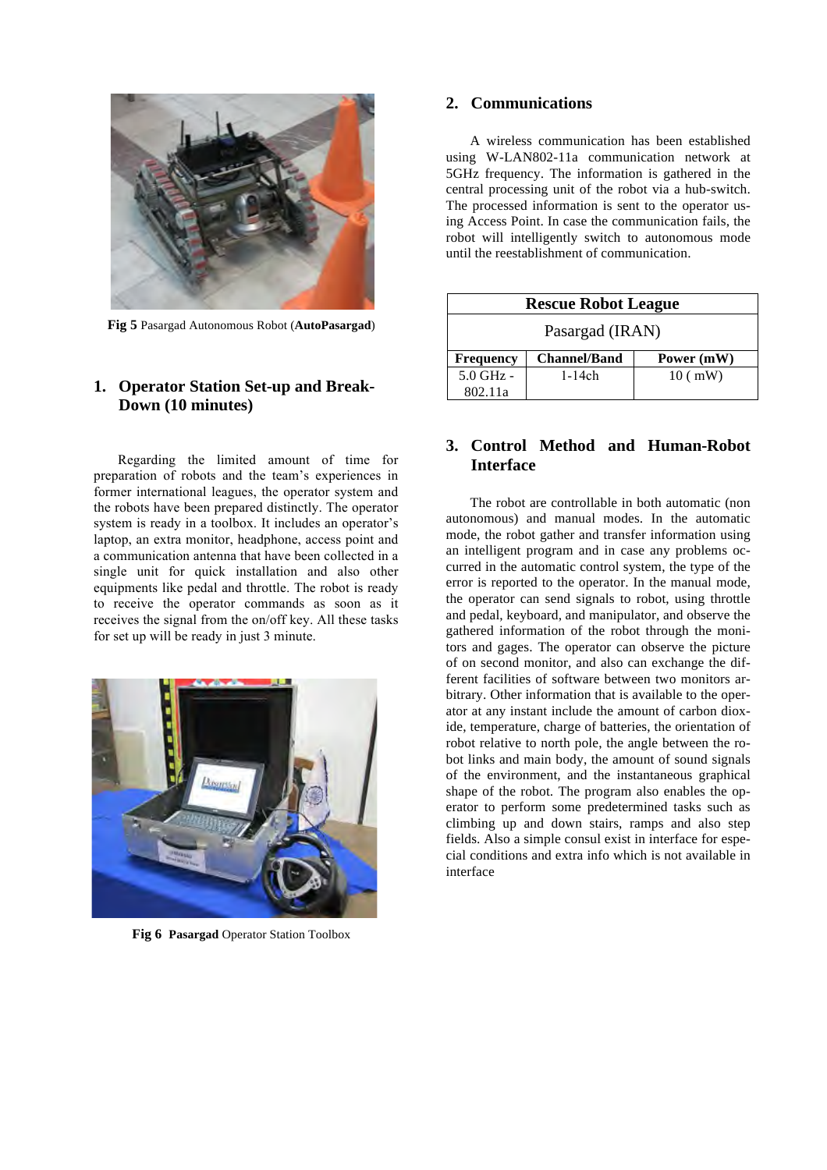

**Fig 5** Pasargad Autonomous Robot (**AutoPasargad**)

# **1. Operator Station Set-up and Break-Down (10 minutes)**

Regarding the limited amount of time for preparation of robots and the team's experiences in former international leagues, the operator system and the robots have been prepared distinctly. The operator system is ready in a toolbox. It includes an operator's laptop, an extra monitor, headphone, access point and a communication antenna that have been collected in a single unit for quick installation and also other equipments like pedal and throttle. The robot is ready to receive the operator commands as soon as it receives the signal from the on/off key. All these tasks for set up will be ready in just 3 minute.



**Fig 6 Pasargad** Operator Station Toolbox

## **2. Communications**

A wireless communication has been established using W-LAN802-11a communication network at 5GHz frequency. The information is gathered in the central processing unit of the robot via a hub-switch. The processed information is sent to the operator using Access Point. In case the communication fails, the robot will intelligently switch to autonomous mode until the reestablishment of communication.

| <b>Rescue Robot League</b> |                     |            |  |  |  |  |
|----------------------------|---------------------|------------|--|--|--|--|
| Pasargad (IRAN)            |                     |            |  |  |  |  |
| <b>Frequency</b>           | <b>Channel/Band</b> | Power (mW) |  |  |  |  |
| $5.0$ GHz $-$              | $1-14ch$            | $10$ ( mW) |  |  |  |  |
| 802.11a                    |                     |            |  |  |  |  |

# **3. Control Method and Human-Robot Interface**

The robot are controllable in both automatic (non autonomous) and manual modes. In the automatic mode, the robot gather and transfer information using an intelligent program and in case any problems occurred in the automatic control system, the type of the error is reported to the operator. In the manual mode, the operator can send signals to robot, using throttle and pedal, keyboard, and manipulator, and observe the gathered information of the robot through the monitors and gages. The operator can observe the picture of on second monitor, and also can exchange the different facilities of software between two monitors arbitrary. Other information that is available to the operator at any instant include the amount of carbon dioxide, temperature, charge of batteries, the orientation of robot relative to north pole, the angle between the robot links and main body, the amount of sound signals of the environment, and the instantaneous graphical shape of the robot. The program also enables the operator to perform some predetermined tasks such as climbing up and down stairs, ramps and also step fields. Also a simple consul exist in interface for especial conditions and extra info which is not available in interface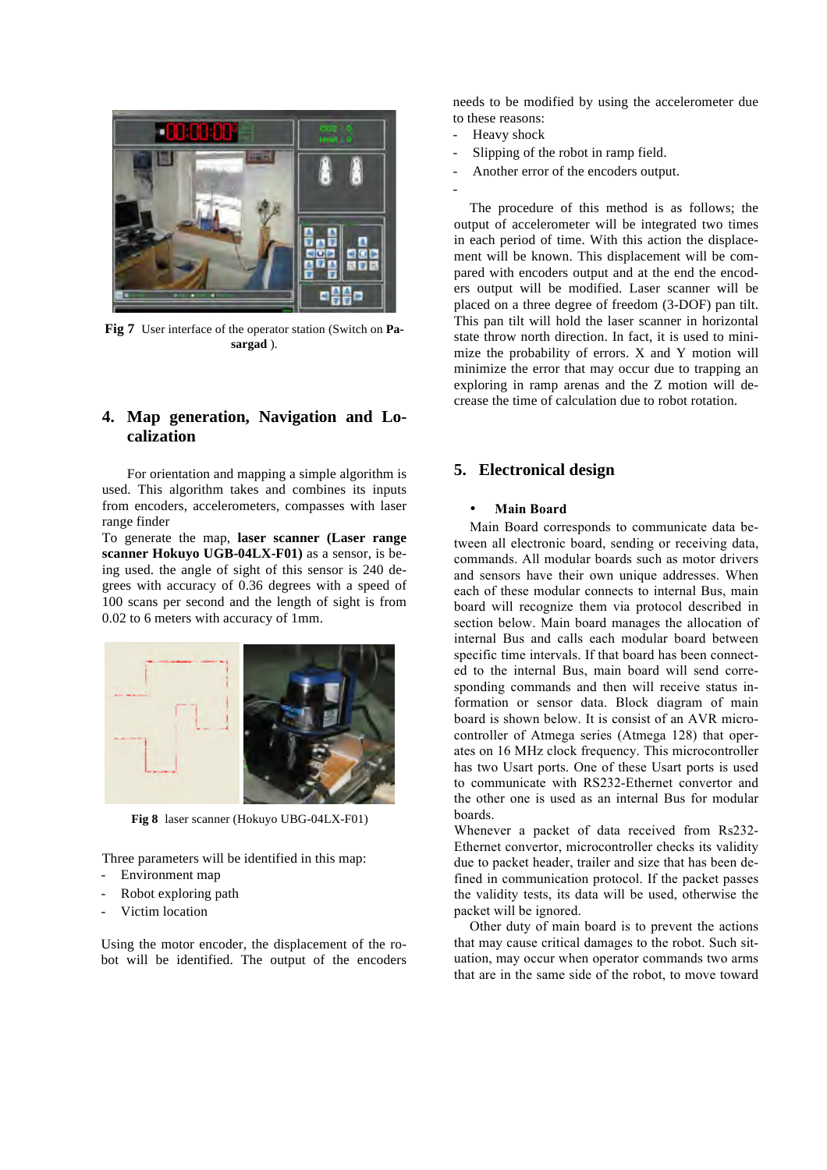

**Fig 7** User interface of the operator station (Switch on **Pasargad** ).

# **4. Map generation, Navigation and Localization**

For orientation and mapping a simple algorithm is used. This algorithm takes and combines its inputs from encoders, accelerometers, compasses with laser range finder

To generate the map, **laser scanner (Laser range scanner Hokuyo UGB-04LX-F01)** as a sensor, is being used. the angle of sight of this sensor is 240 degrees with accuracy of 0.36 degrees with a speed of 100 scans per second and the length of sight is from 0.02 to 6 meters with accuracy of 1mm.



**Fig 8** laser scanner (Hokuyo UBG-04LX-F01)

Three parameters will be identified in this map: Environment map

- Robot exploring path
- Victim location

Using the motor encoder, the displacement of the robot will be identified. The output of the encoders needs to be modified by using the accelerometer due to these reasons:

- Heavy shock
- Slipping of the robot in ramp field.
- Another error of the encoders output.
- -

The procedure of this method is as follows; the output of accelerometer will be integrated two times in each period of time. With this action the displacement will be known. This displacement will be compared with encoders output and at the end the encoders output will be modified. Laser scanner will be placed on a three degree of freedom (3-DOF) pan tilt. This pan tilt will hold the laser scanner in horizontal state throw north direction. In fact, it is used to minimize the probability of errors. X and Y motion will minimize the error that may occur due to trapping an exploring in ramp arenas and the Z motion will decrease the time of calculation due to robot rotation.

# **5. Electronical design**

### • **Main Board**

Main Board corresponds to communicate data between all electronic board, sending or receiving data, commands. All modular boards such as motor drivers and sensors have their own unique addresses. When each of these modular connects to internal Bus, main board will recognize them via protocol described in section below. Main board manages the allocation of internal Bus and calls each modular board between specific time intervals. If that board has been connected to the internal Bus, main board will send corresponding commands and then will receive status information or sensor data. Block diagram of main board is shown below. It is consist of an AVR microcontroller of Atmega series (Atmega 128) that operates on 16 MHz clock frequency. This microcontroller has two Usart ports. One of these Usart ports is used to communicate with RS232-Ethernet convertor and the other one is used as an internal Bus for modular boards.

Whenever a packet of data received from Rs232- Ethernet convertor, microcontroller checks its validity due to packet header, trailer and size that has been defined in communication protocol. If the packet passes the validity tests, its data will be used, otherwise the packet will be ignored.

Other duty of main board is to prevent the actions that may cause critical damages to the robot. Such situation, may occur when operator commands two arms that are in the same side of the robot, to move toward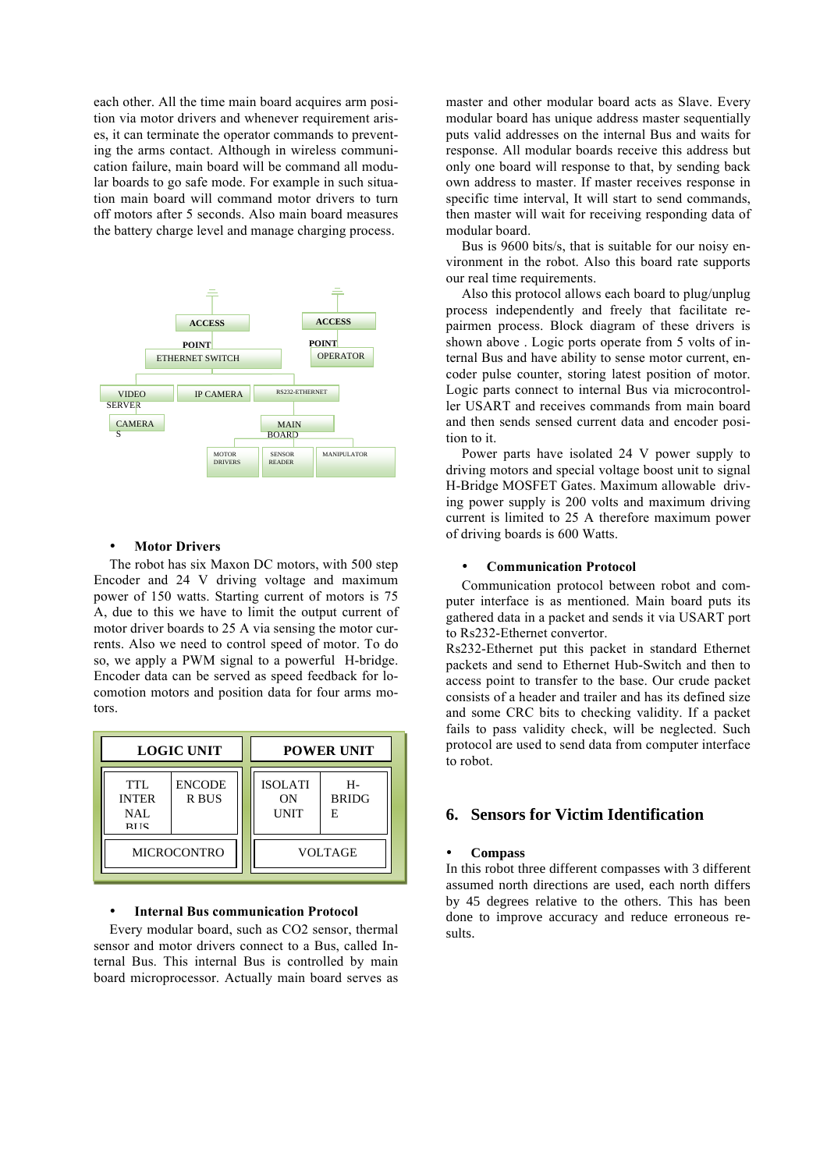each other. All the time main board acquires arm position via motor drivers and whenever requirement arises, it can terminate the operator commands to preventing the arms contact. Although in wireless communication failure, main board will be command all modular boards to go safe mode. For example in such situation main board will command motor drivers to turn off motors after 5 seconds. Also main board measures the battery charge level and manage charging process.



### **Motor Drivers**

The robot has six Maxon DC motors, with 500 step Encoder and 24 V driving voltage and maximum power of 150 watts. Starting current of motors is 75 A, due to this we have to limit the output current of motor driver boards to 25 A via sensing the motor currents. Also we need to control speed of motor. To do so, we apply a PWM signal to a powerful H-bridge. Encoder data can be served as speed feedback for locomotion motors and position data for four arms motors.

| <b>LOGIC UNIT</b>                        |                        | <b>POWER UNIT</b>                   |                         |  |
|------------------------------------------|------------------------|-------------------------------------|-------------------------|--|
| TTL<br><b>INTER</b><br>NAL<br><b>RIK</b> | <b>ENCODE</b><br>R BUS | <b>ISOLATI</b><br>ON<br><b>UNIT</b> | н-<br><b>BRIDG</b><br>E |  |
| <b>MICROCONTRO</b>                       |                        | <b>VOLTAGE</b>                      |                         |  |

#### • **Internal Bus communication Protocol**

Every modular board, such as CO2 sensor, thermal sensor and motor drivers connect to a Bus, called Internal Bus. This internal Bus is controlled by main board microprocessor. Actually main board serves as master and other modular board acts as Slave. Every modular board has unique address master sequentially puts valid addresses on the internal Bus and waits for response. All modular boards receive this address but only one board will response to that, by sending back own address to master. If master receives response in specific time interval, It will start to send commands, then master will wait for receiving responding data of modular board.

Bus is 9600 bits/s, that is suitable for our noisy environment in the robot. Also this board rate supports our real time requirements.

Also this protocol allows each board to plug/unplug process independently and freely that facilitate repairmen process. Block diagram of these drivers is shown above . Logic ports operate from 5 volts of internal Bus and have ability to sense motor current, encoder pulse counter, storing latest position of motor. Logic parts connect to internal Bus via microcontroller USART and receives commands from main board and then sends sensed current data and encoder position to it.

Power parts have isolated 24 V power supply to driving motors and special voltage boost unit to signal H-Bridge MOSFET Gates. Maximum allowable driving power supply is 200 volts and maximum driving current is limited to 25 A therefore maximum power of driving boards is 600 Watts.

#### • **Communication Protocol**

Communication protocol between robot and computer interface is as mentioned. Main board puts its gathered data in a packet and sends it via USART port to Rs232-Ethernet convertor.

Rs232-Ethernet put this packet in standard Ethernet packets and send to Ethernet Hub-Switch and then to access point to transfer to the base. Our crude packet consists of a header and trailer and has its defined size and some CRC bits to checking validity. If a packet fails to pass validity check, will be neglected. Such protocol are used to send data from computer interface to robot.

## **6. Sensors for Victim Identification**

#### • **Compass**

In this robot three different compasses with 3 different assumed north directions are used, each north differs by 45 degrees relative to the others. This has been done to improve accuracy and reduce erroneous results.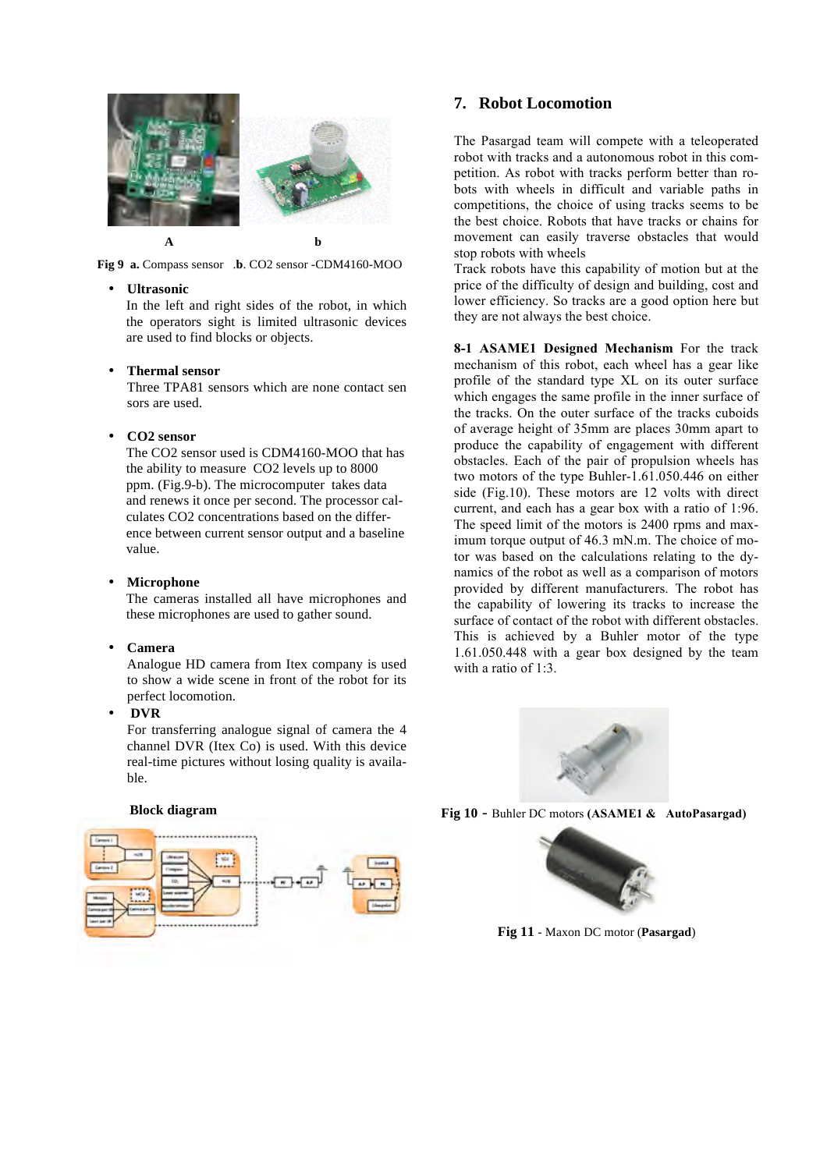

**Fig 9 a.** Compass sensor .**b**. CO2 sensor -CDM4160-MOO

### • **Ultrasonic**

In the left and right sides of the robot, in which the operators sight is limited ultrasonic devices are used to find blocks or objects.

### • **Thermal sensor**

Three TPA81 sensors which are none contact sen sors are used.

## • **CO2 sensor**

The CO2 sensor used is CDM4160-MOO that has the ability to measure CO2 levels up to 8000 ppm. (Fig.9-b). The microcomputer takes data and renews it once per second. The processor calculates CO2 concentrations based on the difference between current sensor output and a baseline value.

#### • **Microphone**

The cameras installed all have microphones and these microphones are used to gather sound.

### • **Camera**

Analogue HD camera from Itex company is used to show a wide scene in front of the robot for its perfect locomotion.

• **DVR**

For transferring analogue signal of camera the 4 channel DVR (Itex Co) is used. With this device real-time pictures without losing quality is available.

## **7. Robot Locomotion**

The Pasargad team will compete with a teleoperated robot with tracks and a autonomous robot in this competition. As robot with tracks perform better than robots with wheels in difficult and variable paths in competitions, the choice of using tracks seems to be the best choice. Robots that have tracks or chains for movement can easily traverse obstacles that would stop robots with wheels

Track robots have this capability of motion but at the price of the difficulty of design and building, cost and lower efficiency. So tracks are a good option here but they are not always the best choice.

**8-1 ASAME1 Designed Mechanism** For the track mechanism of this robot, each wheel has a gear like profile of the standard type XL on its outer surface which engages the same profile in the inner surface of the tracks. On the outer surface of the tracks cuboids of average height of 35mm are places 30mm apart to produce the capability of engagement with different obstacles. Each of the pair of propulsion wheels has two motors of the type Buhler-1.61.050.446 on either side (Fig.10). These motors are 12 volts with direct current, and each has a gear box with a ratio of 1:96. The speed limit of the motors is 2400 rpms and maximum torque output of 46.3 mN.m. The choice of motor was based on the calculations relating to the dynamics of the robot as well as a comparison of motors provided by different manufacturers. The robot has the capability of lowering its tracks to increase the surface of contact of the robot with different obstacles. This is achieved by a Buhler motor of the type 1.61.050.448 with a gear box designed by the team with a ratio of 1:3.



**Fig 10** - Buhler DC motors **(ASAME1 & AutoPasargad)**



**Fig 11** - Maxon DC motor (**Pasargad**)

### **Block diagram**

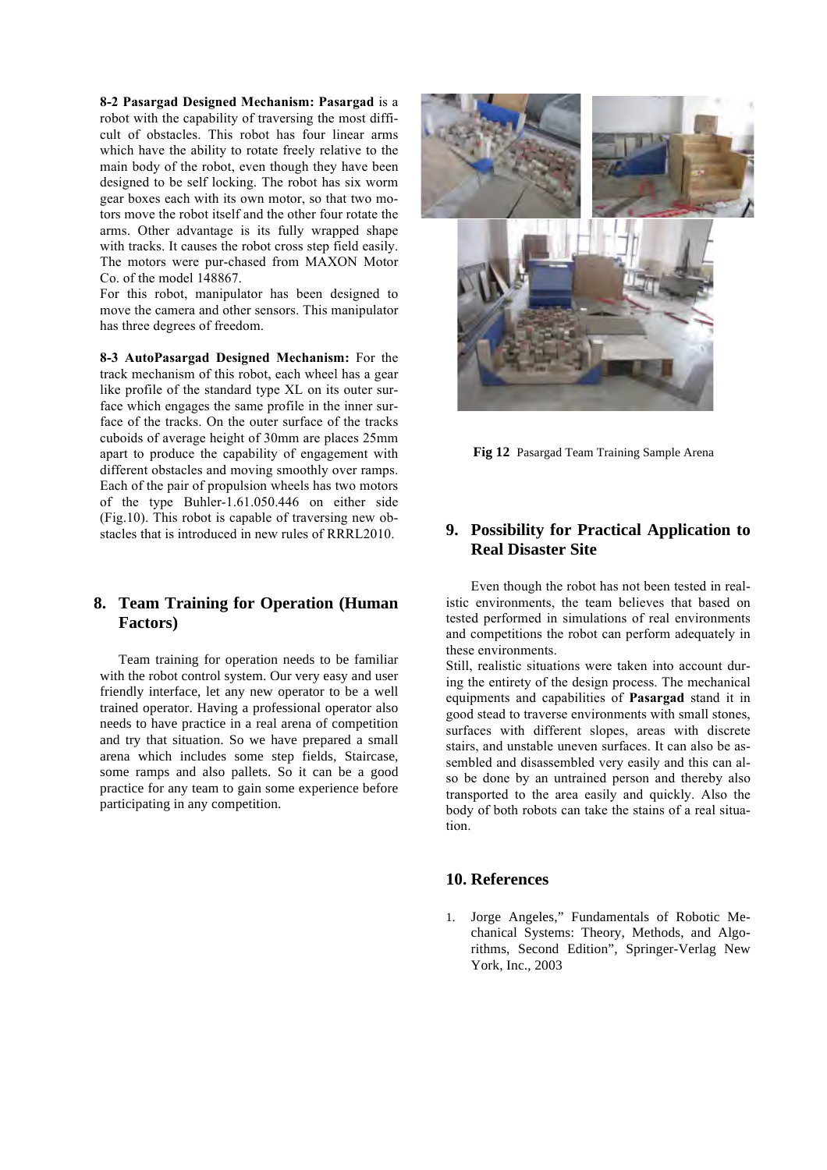**8-2 Pasargad Designed Mechanism: Pasargad** is a robot with the capability of traversing the most difficult of obstacles. This robot has four linear arms which have the ability to rotate freely relative to the main body of the robot, even though they have been designed to be self locking. The robot has six worm gear boxes each with its own motor, so that two motors move the robot itself and the other four rotate the arms. Other advantage is its fully wrapped shape with tracks. It causes the robot cross step field easily. The motors were pur-chased from MAXON Motor Co. of the model 148867.

For this robot, manipulator has been designed to move the camera and other sensors. This manipulator has three degrees of freedom.

**8-3 AutoPasargad Designed Mechanism:** For the track mechanism of this robot, each wheel has a gear like profile of the standard type XL on its outer surface which engages the same profile in the inner surface of the tracks. On the outer surface of the tracks cuboids of average height of 30mm are places 25mm apart to produce the capability of engagement with different obstacles and moving smoothly over ramps. Each of the pair of propulsion wheels has two motors of the type Buhler-1.61.050.446 on either side (Fig.10). This robot is capable of traversing new obstacles that is introduced in new rules of RRRL2010.

# **8. Team Training for Operation (Human Factors)**

Team training for operation needs to be familiar with the robot control system. Our very easy and user friendly interface, let any new operator to be a well trained operator. Having a professional operator also needs to have practice in a real arena of competition and try that situation. So we have prepared a small arena which includes some step fields, Staircase, some ramps and also pallets. So it can be a good practice for any team to gain some experience before participating in any competition.



**Fig 12** Pasargad Team Training Sample Arena

# **9. Possibility for Practical Application to Real Disaster Site**

Even though the robot has not been tested in realistic environments, the team believes that based on tested performed in simulations of real environments and competitions the robot can perform adequately in these environments.

Still, realistic situations were taken into account during the entirety of the design process. The mechanical equipments and capabilities of **Pasargad** stand it in good stead to traverse environments with small stones, surfaces with different slopes, areas with discrete stairs, and unstable uneven surfaces. It can also be assembled and disassembled very easily and this can also be done by an untrained person and thereby also transported to the area easily and quickly. Also the body of both robots can take the stains of a real situation.

## **10. References**

1. Jorge Angeles," Fundamentals of Robotic Mechanical Systems: Theory, Methods, and Algorithms, Second Edition", Springer-Verlag New York, Inc., 2003